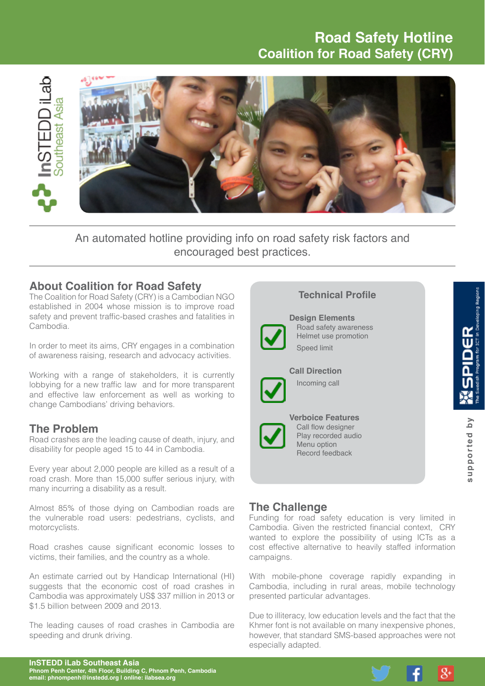# **Road Safety Hotline Coalition for Road Safety (CRY)**



An automated hotline providing info on road safety risk factors and encouraged best practices.

## **About Coalition for Road Safety**

The Coalition for Road Safety (CRY) is a Cambodian NGO established in 2004 whose mission is to improve road safety and prevent traffic-based crashes and fatalities in Cambodia.

In order to meet its aims, CRY engages in a combination of awareness raising, research and advocacy activities.

Working with a range of stakeholders, it is currently lobbying for a new traffic law and for more transparent and effective law enforcement as well as working to change Cambodians' driving behaviors.

### **The Problem**

Road crashes are the leading cause of death, injury, and disability for people aged 15 to 44 in Cambodia.

Every year about 2,000 people are killed as a result of a road crash. More than 15,000 suffer serious injury, with many incurring a disability as a result.

Almost 85% of those dying on Cambodian roads are the vulnerable road users: pedestrians, cyclists, and motorcyclists.

Road crashes cause significant economic losses to victims, their families, and the country as a whole.

An estimate carried out by Handicap International (HI) suggests that the economic cost of road crashes in Cambodia was approximately US\$ 337 million in 2013 or \$1.5 billion between 2009 and 2013.

The leading causes of road crashes in Cambodia are speeding and drunk driving.

# **Technical Profile Design Elements** Road safety awareness  $\frac{\alpha}{2}$ Helmet use promotion Speed limit **Call Direction** Incoming call **Verboice Features** supported by **supported by** Call flow designer Play recorded audio Menu option Record feedback

# **The Challenge**

Funding for road safety education is very limited in Cambodia. Given the restricted financial context, CRY wanted to explore the possibility of using ICTs as a cost effective alternative to heavily staffed information campaigns.

With mobile-phone coverage rapidly expanding in Cambodia, including in rural areas, mobile technology presented particular advantages.

Due to illiteracy, low education levels and the fact that the Khmer font is not available on many inexpensive phones, however, that standard SMS-based approaches were not especially adapted.